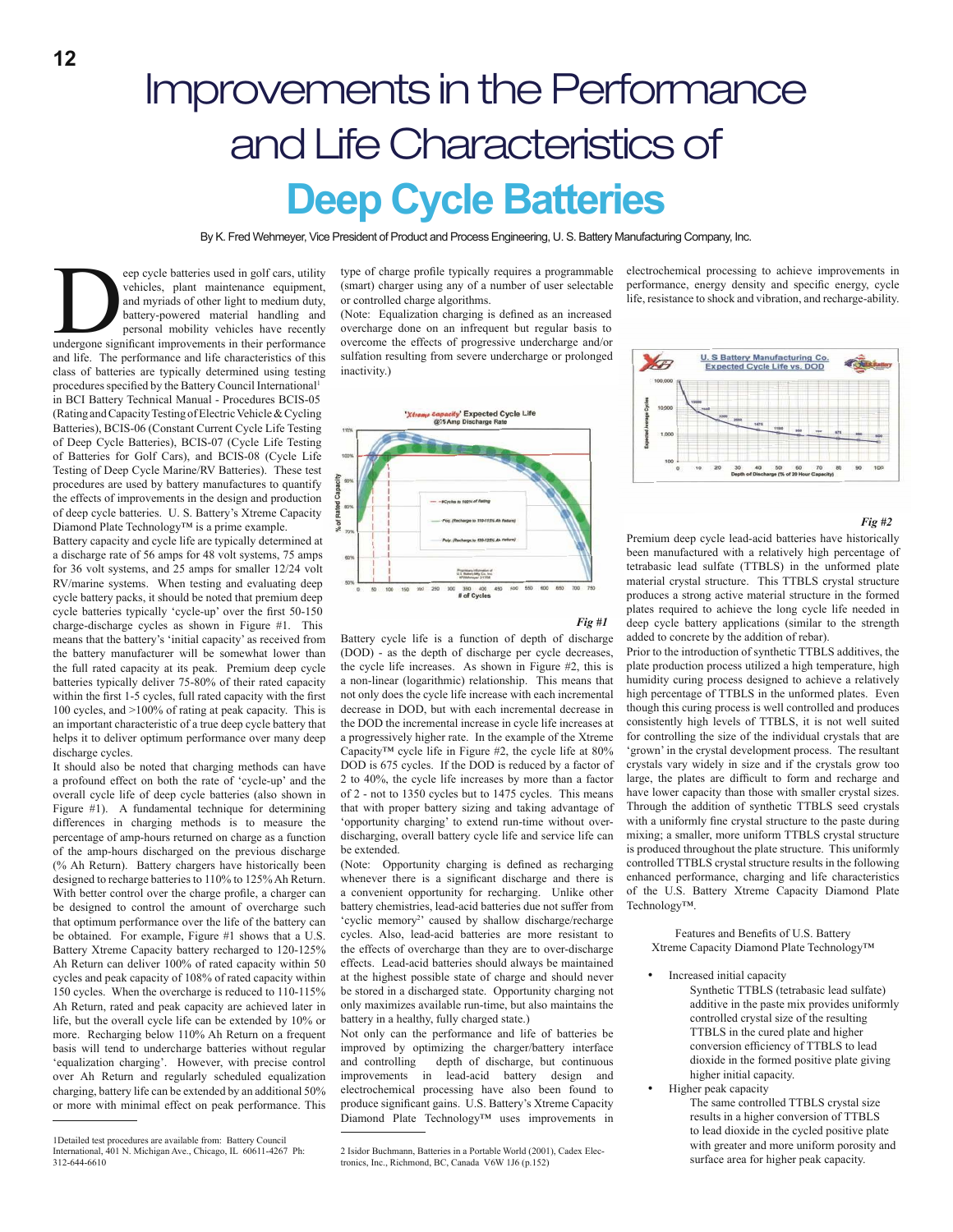# Improvements in the Performance and Life Characteristics of **Deep Cycle Batteries**

By K. Fred Wehmeyer, Vice President of Product and Process Engineering, U. S. Battery Manufacturing Company, Inc.

eep cycle batteries used in golf cars, utility<br>vehicles, plant maintenance equipment,<br>and myriads of other light to medium duty,<br>battery-powered material handling and<br>personal mobility vehicles have recently<br>undergone sign eep cycle batteries used in golf cars, utility vehicles, plant maintenance equipment, and myriads of other light to medium duty, battery-powered material handling and personal mobility vehicles have recently and life. The performance and life characteristics of this class of batteries are typically determined using testing procedures specified by the Battery Council International<sup>1</sup> in BCI Battery Technical Manual - Procedures BCIS-05 (Rating and Capacity Testing of Electric Vehicle & Cycling Batteries), BCIS-06 (Constant Current Cycle Life Testing of Deep Cycle Batteries), BCIS-07 (Cycle Life Testing of Batteries for Golf Cars), and BCIS-08 (Cycle Life Testing of Deep Cycle Marine/RV Batteries). These test procedures are used by battery manufactures to quantify the effects of improvements in the design and production of deep cycle batteries. U. S. Battery's Xtreme Capacity Diamond Plate Technology™ is a prime example.

Battery capacity and cycle life are typically determined at a discharge rate of 56 amps for 48 volt systems, 75 amps for 36 volt systems, and 25 amps for smaller 12/24 volt RV/marine systems. When testing and evaluating deep cycle battery packs, it should be noted that premium deep cycle batteries typically 'cycle-up' over the first 50-150 charge-discharge cycles as shown in Figure #1. This means that the battery's 'initial capacity' as received from the battery manufacturer will be somewhat lower than the full rated capacity at its peak. Premium deep cycle batteries typically deliver 75-80% of their rated capacity within the first 1-5 cycles, full rated capacity with the first 100 cycles, and >100% of rating at peak capacity. This is an important characteristic of a true deep cycle battery that helps it to deliver optimum performance over many deep discharge cycles.

It should also be noted that charging methods can have a profound effect on both the rate of 'cycle-up' and the overall cycle life of deep cycle batteries (also shown in Figure #1). A fundamental technique for determining differences in charging methods is to measure the percentage of amp-hours returned on charge as a function of the amp-hours discharged on the previous discharge (% Ah Return). Battery chargers have historically been designed to recharge batteries to 110% to 125% Ah Return. With better control over the charge profile, a charger can be designed to control the amount of overcharge such that optimum performance over the life of the battery can be obtained. For example, Figure #1 shows that a U.S. Battery Xtreme Capacity battery recharged to 120-125% Ah Return can deliver 100% of rated capacity within 50 cycles and peak capacity of 108% of rated capacity within 150 cycles. When the overcharge is reduced to 110-115% Ah Return, rated and peak capacity are achieved later in life, but the overall cycle life can be extended by 10% or more. Recharging below 110% Ah Return on a frequent basis will tend to undercharge batteries without regular 'equalization charging'. However, with precise control over Ah Return and regularly scheduled equalization charging, battery life can be extended by an additional 50% or more with minimal effect on peak performance. This type of charge profile typically requires a programmable (smart) charger using any of a number of user selectable or controlled charge algorithms.

(Note: Equalization charging is defined as an increased overcharge done on an infrequent but regular basis to overcome the effects of progressive undercharge and/or sulfation resulting from severe undercharge or prolonged inactivity.)



Battery cycle life is a function of depth of discharge (DOD) - as the depth of discharge per cycle decreases, the cycle life increases. As shown in Figure #2, this is a non-linear (logarithmic) relationship. This means that not only does the cycle life increase with each incremental decrease in DOD, but with each incremental decrease in the DOD the incremental increase in cycle life increases at a progressively higher rate. In the example of the Xtreme Capacity™ cycle life in Figure #2, the cycle life at 80% DOD is 675 cycles. If the DOD is reduced by a factor of 2 to 40%, the cycle life increases by more than a factor of 2 - not to 1350 cycles but to 1475 cycles. This means that with proper battery sizing and taking advantage of 'opportunity charging' to extend run-time without overdischarging, overall battery cycle life and service life can

(Note: Opportunity charging is defined as recharging whenever there is a significant discharge and there is a convenient opportunity for recharging. Unlike other battery chemistries, lead-acid batteries due not suffer from 'cyclic memory<sup>2</sup>' caused by shallow discharge/recharge cycles. Also, lead-acid batteries are more resistant to the effects of overcharge than they are to over-discharge effects. Lead-acid batteries should always be maintained at the highest possible state of charge and should never be stored in a discharged state. Opportunity charging not only maximizes available run-time, but also maintains the

be extended.

electrochemical processing to achieve improvements in performance, energy density and specific energy, cycle life, resistance to shock and vibration, and recharge-ability.



### *Fig #2*

Premium deep cycle lead-acid batteries have historically been manufactured with a relatively high percentage of tetrabasic lead sulfate (TTBLS) in the unformed plate material crystal structure. This TTBLS crystal structure produces a strong active material structure in the formed plates required to achieve the long cycle life needed in deep cycle battery applications (similar to the strength added to concrete by the addition of rebar).

Prior to the introduction of synthetic TTBLS additives, the plate production process utilized a high temperature, high humidity curing process designed to achieve a relatively high percentage of TTBLS in the unformed plates. Even though this curing process is well controlled and produces consistently high levels of TTBLS, it is not well suited for controlling the size of the individual crystals that are 'grown' in the crystal development process. The resultant crystals vary widely in size and if the crystals grow too large, the plates are difficult to form and recharge and have lower capacity than those with smaller crystal sizes. Through the addition of synthetic TTBLS seed crystals with a uniformly fine crystal structure to the paste during mixing; a smaller, more uniform TTBLS crystal structure is produced throughout the plate structure. This uniformly controlled TTBLS crystal structure results in the following enhanced performance, charging and life characteristics of the U.S. Battery Xtreme Capacity Diamond Plate Technology™.

Features and Benefits of U.S. Battery Xtreme Capacity Diamond Plate Technology™

Increased initial capacity

Synthetic TTBLS (tetrabasic lead sulfate) additive in the paste mix provides uniformly controlled crystal size of the resulting TTBLS in the cured plate and higher conversion efficiency of TTBLS to lead dioxide in the formed positive plate giving higher initial capacity.

 Higher peak capacity The same controlled TTBLS crystal size results in a higher conversion of TTBLS to lead dioxide in the cycled positive plate with greater and more uniform porosity and surface area for higher peak capacity.



Not only can the performance and life of batteries be improved by optimizing the charger/battery interface<br>and controlling depth of discharge, but continuous

improvements in lead-acid battery design and electrochemical processing have also been found to produce significant gains. U.S. Battery's Xtreme Capacity Diamond Plate Technology™ uses improvements in

depth of discharge, but continuous

battery in a healthy, fully charged state.)

<sup>1</sup>Detailed test procedures are available from: Battery Council International, 401 N. Michigan Ave., Chicago, IL 60611-4267 Ph: 312-644-6610